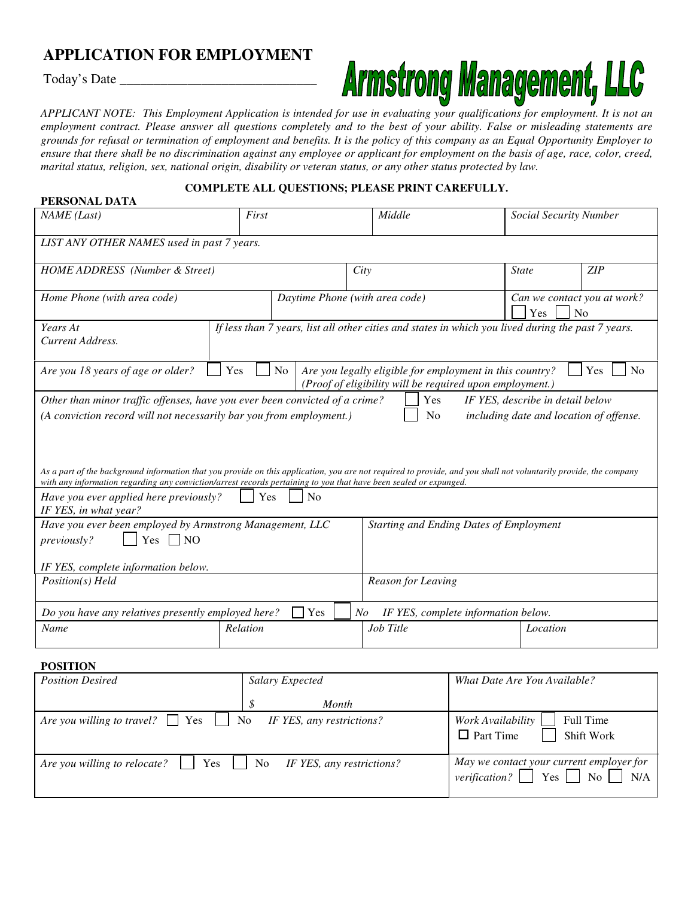## **APPLICATION FOR EMPLOYMENT**

Today's Date \_\_\_\_\_\_\_\_\_\_\_\_\_\_\_\_\_\_\_\_\_\_\_\_\_\_\_\_\_

**PERSONAL DATA**

# **Armstrong Management, LLC**

APPLICANT NOTE: This Employment Application is intended for use in evaluating your qualifications for employment. It is not an employment contract. Please answer all questions completely and to the best of your ability. False or misleading statements are grounds for refusal or termination of employment and benefits. It is the policy of this company as an Equal Opportunity Employer to ensure that there shall be no discrimination against any employee or applicant for employment on the basis of age, race, color, creed, marital status, religion, sex, national origin, disability or veteran status, or any other status protected by law.

### **COMPLETE ALL QUESTIONS; PLEASE PRINT CAREFULLY.**

| PERSUNAL DATA                                                                                                                                                                                                                                                                                                                                                                                                                                                                                                                                                                                               |                                                                                                    |     |                    |                                                |                                                      |     |
|-------------------------------------------------------------------------------------------------------------------------------------------------------------------------------------------------------------------------------------------------------------------------------------------------------------------------------------------------------------------------------------------------------------------------------------------------------------------------------------------------------------------------------------------------------------------------------------------------------------|----------------------------------------------------------------------------------------------------|-----|--------------------|------------------------------------------------|------------------------------------------------------|-----|
| First<br>NAME (Last)                                                                                                                                                                                                                                                                                                                                                                                                                                                                                                                                                                                        |                                                                                                    |     | Middle             |                                                | Social Security Number                               |     |
| LIST ANY OTHER NAMES used in past 7 years.                                                                                                                                                                                                                                                                                                                                                                                                                                                                                                                                                                  |                                                                                                    |     |                    |                                                |                                                      |     |
| HOME ADDRESS (Number & Street)                                                                                                                                                                                                                                                                                                                                                                                                                                                                                                                                                                              |                                                                                                    |     | City               |                                                | <b>State</b>                                         | ZIP |
| Daytime Phone (with area code)<br>Home Phone (with area code)                                                                                                                                                                                                                                                                                                                                                                                                                                                                                                                                               |                                                                                                    |     |                    |                                                | Can we contact you at work?<br>N <sub>o</sub><br>Yes |     |
| Years At<br>Current Address.                                                                                                                                                                                                                                                                                                                                                                                                                                                                                                                                                                                | If less than 7 years, list all other cities and states in which you lived during the past 7 years. |     |                    |                                                |                                                      |     |
| Yes<br>Are you legally eligible for employment in this country?<br>Are you 18 years of age or older?<br>N <sub>o</sub><br>Yes<br>No<br>(Proof of eligibility will be required upon employment.)                                                                                                                                                                                                                                                                                                                                                                                                             |                                                                                                    |     |                    |                                                |                                                      |     |
| Other than minor traffic offenses, have you ever been convicted of a crime?<br>IF YES, describe in detail below<br>Yes<br>(A conviction record will not necessarily bar you from employment.)<br>N <sub>o</sub><br>including date and location of offense.<br>As a part of the background information that you provide on this application, you are not required to provide, and you shall not voluntarily provide, the company<br>with any information regarding any conviction/arrest records pertaining to you that have been sealed or expunged.<br>No<br>Have you ever applied here previously?<br>Yes |                                                                                                    |     |                    |                                                |                                                      |     |
| IF YES, in what year?                                                                                                                                                                                                                                                                                                                                                                                                                                                                                                                                                                                       |                                                                                                    |     |                    |                                                |                                                      |     |
| Have you ever been employed by Armstrong Management, LLC<br>Yes<br>NO<br><i>previously?</i><br>IF YES, complete information below.                                                                                                                                                                                                                                                                                                                                                                                                                                                                          |                                                                                                    |     |                    | <b>Starting and Ending Dates of Employment</b> |                                                      |     |
| Position(s) Held                                                                                                                                                                                                                                                                                                                                                                                                                                                                                                                                                                                            |                                                                                                    |     | Reason for Leaving |                                                |                                                      |     |
| Do you have any relatives presently employed here?                                                                                                                                                                                                                                                                                                                                                                                                                                                                                                                                                          |                                                                                                    | Yes | N <sub>O</sub>     | IF YES, complete information below.            |                                                      |     |
| Name                                                                                                                                                                                                                                                                                                                                                                                                                                                                                                                                                                                                        | Relation                                                                                           |     | Job Title          |                                                | Location                                             |     |
|                                                                                                                                                                                                                                                                                                                                                                                                                                                                                                                                                                                                             |                                                                                                    |     |                    |                                                |                                                      |     |

**POSITION**

| <b>Position Desired</b>                                                   | Salary Expected | What Date Are You Available?                                                                                                                                  |  |
|---------------------------------------------------------------------------|-----------------|---------------------------------------------------------------------------------------------------------------------------------------------------------------|--|
|                                                                           | Month           |                                                                                                                                                               |  |
| Are you willing to travel? $\Box$ Yes $\Box$ No IF YES, any restrictions? |                 | Work Availability<br>Full Time<br>$\Box$ Part Time<br><b>Shift Work</b>                                                                                       |  |
| Are you willing to relocate?     Yes   No IF YES, any restrictions?       |                 | May we contact your current employer for<br><i>verification?</i> $\begin{array}{ c c c c c } \hline \text{Yes} & \text{No} & \text{N/A} \\\hline \end{array}$ |  |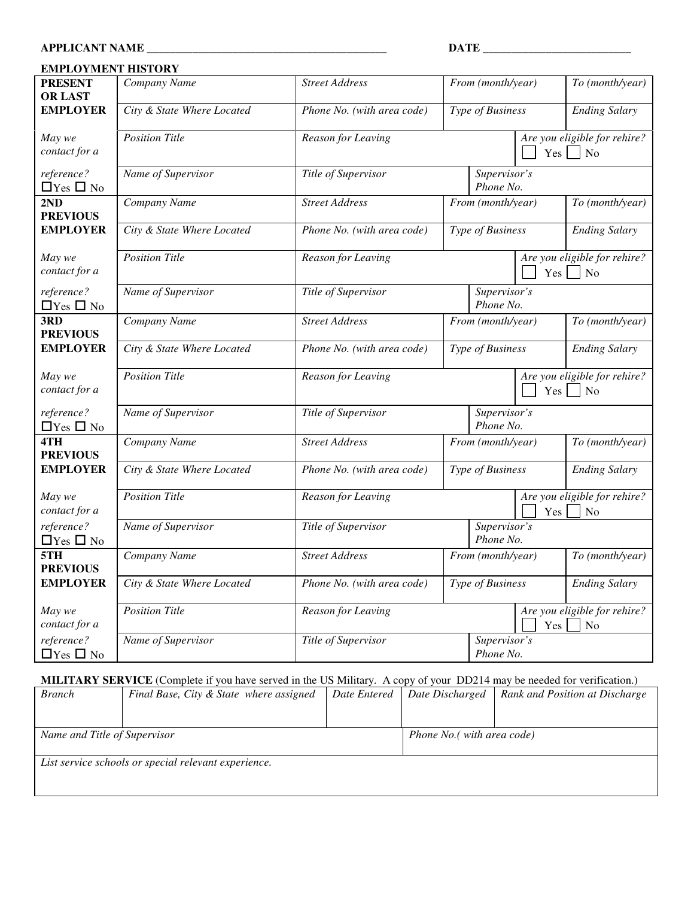#### **EMPLOYMENT HISTORY PRESENT OR LAST** *Company Name Street Address From (month/year) To (month/year)* **EMPLOYER** *City & State Where Located Phone No. (with area code) Type of Business Ending Salary May we contact for a Position* Title *Reason for Leaving**Are Are you eligible for rehire?*  $Yes \mid \mid No$ *reference?*  $\Box$  Yes  $\Box$  No *Name of Supervisor Title of Supervisor Supervisor's Phone No.* **2ND PREVIOUS** *Company Name Street Address From (month/year) To (month/year)* **EMPLOYER** *City & State Where Located Phone No. (with area code) Type of Business Ending Salary May we contact for a Position Title Reason for Leaving**Are**Xenume in the state of the <i>Reason for Leaving**Are**Are**you**eligible**for rehire?*  $Yes \Box No$ *reference?*  $\Box$  Yes  $\Box$  No *Name of Supervisor Title of Supervisor Supervisor's Phone No.* **3RD PREVIOUS** *Company Name Street Address From (month/year) To (month/year)* **EMPLOYER** *City & State Where Located Phone No. (with area code) Type of Business Ending Salary May we contact for a Position Title Reason for Leaving Are you eligible for rehire?*  $Yes \mid \mid No$ *reference?*  $\Box$  Yes  $\Box$  No *Name of Supervisor Title of Supervisor Supervisor's Phone No.* **4TH PREVIOUS** *Company Name Street Address From (month/year) To (month/year)* **EMPLOYER** *City & State Where Located Phone No. (with area code) Type of Business Ending Salary May we contact for a Position Title Reason for Leaving**Are**Xenume in the state of the <i>Reason for Leaving**Are**Are**you**eligible**for rehire?*  $Yes \Box No$ *reference?*  $\Box$  Yes  $\Box$  No *Name of Supervisor Title of Supervisor Supervisor's Phone No.* **5TH PREVIOUS** *Company Name Street Address From (month/year) To (month/year)* **EMPLOYER** *City & State Where Located Phone No. (with area code) Type of Business Ending Salary May we contact for a Position Title Reason for Leaving Are you eligible for rehire?*  $Yes \mid \mid No$ *reference?*  $\Box$  Yes  $\Box$  No *Name of Supervisor Title of Supervisor Supervisor's Phone No.*

#### **MILITARY SERVICE** (Complete if you have served in the US Military. A copy of your DD214 may be needed for verification.)

| <b>Branch</b>                | Final Base, City & State where assigned              | Date Entered | Date Discharged            | Rank and Position at Discharge |
|------------------------------|------------------------------------------------------|--------------|----------------------------|--------------------------------|
|                              |                                                      |              |                            |                                |
| Name and Title of Supervisor |                                                      |              | Phone No.( with area code) |                                |
|                              | List service schools or special relevant experience. |              |                            |                                |